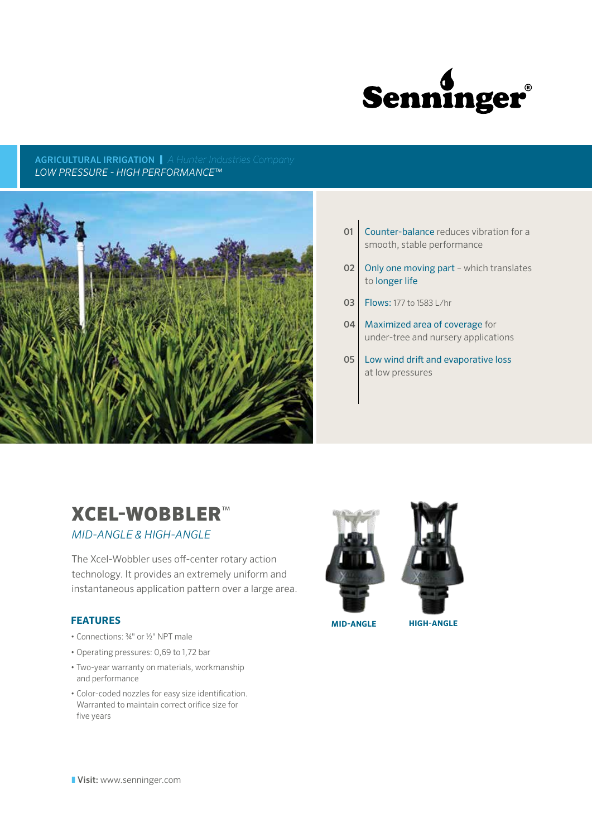

## AGRICULTURAL IRRIGATION | *A Hunter Industries Company LOW PRESSURE - HIGH PERFORMANCE™*



- **01** Counter-balance reduces vibration for a smooth, stable performance
- 02 Only one moving part which translates to longer life
- 03 | Flows: 177 to 1583 L/hr
- 04 Maximized area of coverage for under-tree and nursery applications
- 05 | Low wind drift and evaporative loss at low pressures

# XCEL-WOBBLER™

# *MID-ANGLE & HIGH-ANGLE*

The Xcel-Wobbler uses off-center rotary action technology. It provides an extremely uniform and instantaneous application pattern over a large area.

# **FEATURES**

- Connections: 34" or 1/2" NPT male
- Operating pressures: 0,69 to 1,72 bar
- Two-year warranty on materials, workmanship and performance
- Color-coded nozzles for easy size identification. Warranted to maintain correct orifice size for five years





**MID-ANGLE HIGH-ANGLE**